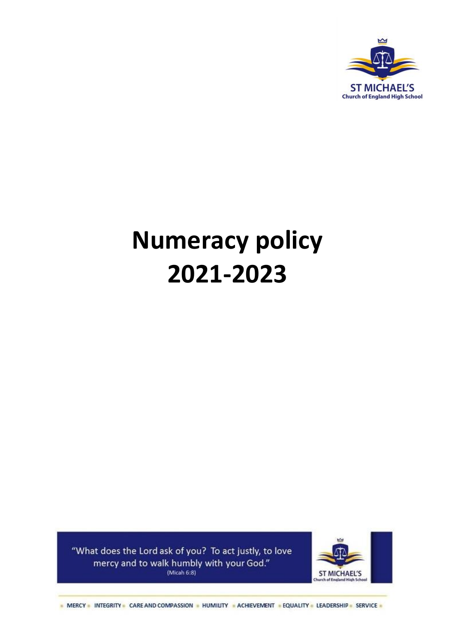

# **Numeracy policy 2021-2023**

"What does the Lord ask of you? To act justly, to love mercy and to walk humbly with your God." (Micah  $6:8$ )



- MERCY - INTEGRITY - CARE AND COMPASSION - HUMILITY - ACHIEVEMENT - EQUALITY - LEADERSHIP - SERVICE -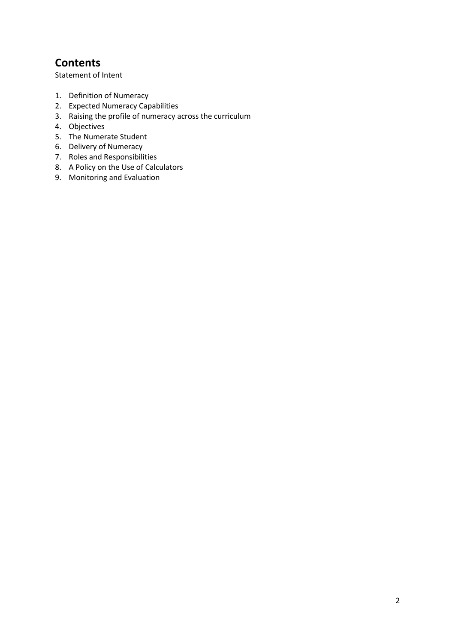## **Contents**

[Statement of Intent](#page-2-0)

- 1. [Definition of Numeracy](#page-3-0)
- 2. [Expected Numeracy Capabilities](#page-4-0)
- 3. Raising the profile of numeracy across the curriculum
- 4. [Objectives](#page-5-0)
- 5. [The Numerate Student](#page-6-0)
- 6. [Delivery of Numeracy](#page-7-0)
- 7. [Roles and Responsibilities](#page-7-1)
- 8. [A Policy on the Use of Calculators](#page-9-0)
- 9. Monitoring and [Evaluation](#page-9-1)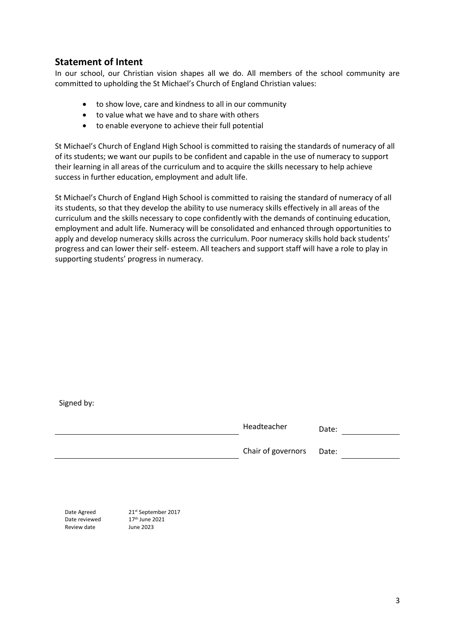## <span id="page-2-0"></span>**Statement of Intent**

In our school, our Christian vision shapes all we do. All members of the school community are committed to upholding the St Michael's Church of England Christian values:

- to show love, care and kindness to all in our community
- to value what we have and to share with others
- to enable everyone to achieve their full potential

St Michael's Church of England High School is committed to raising the standards of numeracy of all of its students; we want our pupils to be confident and capable in the use of numeracy to support their learning in all areas of the curriculum and to acquire the skills necessary to help achieve success in further education, employment and adult life.

St Michael's Church of England High School is committed to raising the standard of numeracy of all its students, so that they develop the ability to use numeracy skills effectively in all areas of the curriculum and the skills necessary to cope confidently with the demands of continuing education, employment and adult life. Numeracy will be consolidated and enhanced through opportunities to apply and develop numeracy skills across the curriculum. Poor numeracy skills hold back students' progress and can lower their self- esteem. All teachers and support staff will have a role to play in supporting students' progress in numeracy.

| Signed by: |                    |       |
|------------|--------------------|-------|
|            | Headteacher        | Date: |
|            | Chair of governors | Date: |
|            |                    |       |
|            |                    |       |

Date reviewed 17<sup>th</sup> June 2021 Review date June 2023

Date Agreed 21st September 2017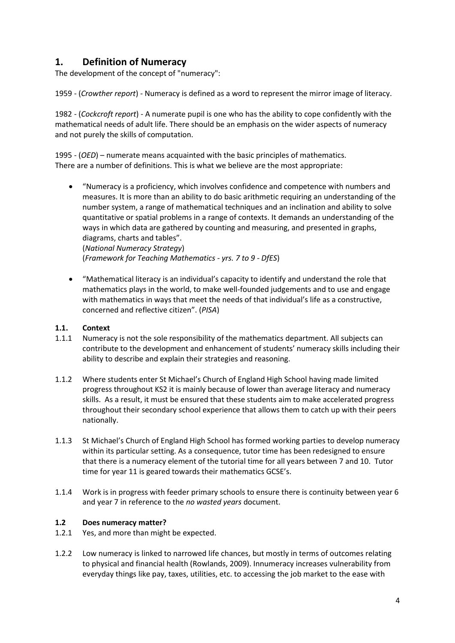## <span id="page-3-0"></span>**1. Definition of Numeracy**

The development of the concept of "numeracy":

1959 - (*Crowther report*) - Numeracy is defined as a word to represent the mirror image of literacy.

1982 - (*Cockcroft report*) - A numerate pupil is one who has the ability to cope confidently with the mathematical needs of adult life. There should be an emphasis on the wider aspects of numeracy and not purely the skills of computation.

1995 - (*OED*) – numerate means acquainted with the basic principles of mathematics. There are a number of definitions. This is what we believe are the most appropriate:

- "Numeracy is a proficiency, which involves confidence and competence with numbers and measures. It is more than an ability to do basic arithmetic requiring an understanding of the number system, a range of mathematical techniques and an inclination and ability to solve quantitative or spatial problems in a range of contexts. It demands an understanding of the ways in which data are gathered by counting and measuring, and presented in graphs, diagrams, charts and tables". (*National Numeracy Strategy*) (*Framework for Teaching Mathematics - yrs. 7 to 9 - DfES*)
- "Mathematical literacy is an individual's capacity to identify and understand the role that mathematics plays in the world, to make well-founded judgements and to use and engage with mathematics in ways that meet the needs of that individual's life as a constructive, concerned and reflective citizen". (*PISA*)

#### **1.1. Context**

- 1.1.1 Numeracy is not the sole responsibility of the mathematics department. All subjects can contribute to the development and enhancement of students' numeracy skills including their ability to describe and explain their strategies and reasoning.
- 1.1.2 Where students enter St Michael's Church of England High School having made limited progress throughout KS2 it is mainly because of lower than average literacy and numeracy skills. As a result, it must be ensured that these students aim to make accelerated progress throughout their secondary school experience that allows them to catch up with their peers nationally.
- 1.1.3 St Michael's Church of England High School has formed working parties to develop numeracy within its particular setting. As a consequence, tutor time has been redesigned to ensure that there is a numeracy element of the tutorial time for all years between 7 and 10. Tutor time for year 11 is geared towards their mathematics GCSE's.
- 1.1.4 Work is in progress with feeder primary schools to ensure there is continuity between year 6 and year 7 in reference to the *no wasted years* document.

#### **1.2 Does numeracy matter?**

- 1.2.1 Yes, and more than might be expected.
- 1.2.2 Low numeracy is linked to narrowed life chances, but mostly in terms of outcomes relating to physical and financial health (Rowlands, 2009). Innumeracy increases vulnerability from everyday things like pay, taxes, utilities, etc. to accessing the job market to the ease with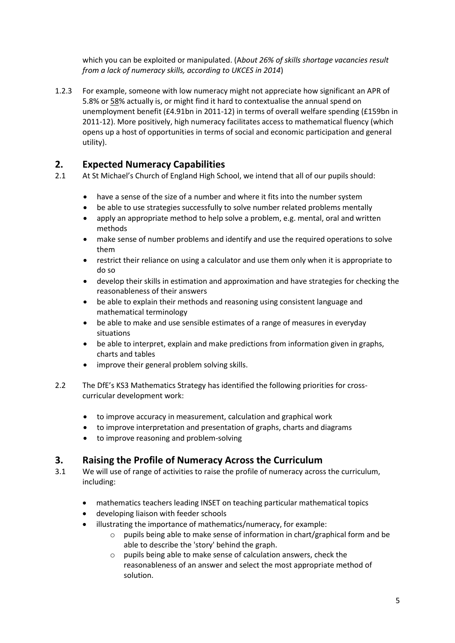which you can be exploited or manipulated. (A*bout 26% of skills shortage vacancies result from a lack of numeracy skills, according to UKCES in 2014*)

1.2.3 For example, someone with low numeracy might not appreciate how significant an APR of 5.8% or [58%](http://www.theguardian.com/business/2014/apr/09/wonga-advert-banned-interest-rate) actually is, or might find it hard to contextualise the annual spend on unemployment benefit (£4.91bn in 2011-12) in terms of overall welfare spending (£159bn in 2011-12). More positively, high numeracy facilitates access to mathematical fluency (which opens up a host of opportunities in terms of social and economic participation and general utility).

## <span id="page-4-0"></span>**2. Expected Numeracy Capabilities**

- 2.1 At St Michael's Church of England High School, we intend that all of our pupils should:
	- have a sense of the size of a number and where it fits into the number system
	- be able to use strategies successfully to solve number related problems mentally
	- apply an appropriate method to help solve a problem, e.g. mental, oral and written methods
	- make sense of number problems and identify and use the required operations to solve them
	- restrict their reliance on using a calculator and use them only when it is appropriate to do so
	- develop their skills in estimation and approximation and have strategies for checking the reasonableness of their answers
	- be able to explain their methods and reasoning using consistent language and mathematical terminology
	- be able to make and use sensible estimates of a range of measures in everyday situations
	- be able to interpret, explain and make predictions from information given in graphs, charts and tables
	- improve their general problem solving skills.
- 2.2 The DfE's KS3 Mathematics Strategy has identified the following priorities for crosscurricular development work:
	- to improve accuracy in measurement, calculation and graphical work
	- to improve interpretation and presentation of graphs, charts and diagrams
	- to improve reasoning and problem-solving

## **3. Raising the Profile of Numeracy Across the Curriculum**

- 3.1 We will use of range of activities to raise the profile of numeracy across the curriculum, including:
	- mathematics teachers leading INSET on teaching particular mathematical topics
	- developing liaison with feeder schools
	- illustrating the importance of mathematics/numeracy, for example:
		- $\circ$  pupils being able to make sense of information in chart/graphical form and be able to describe the 'story' behind the graph.
		- o pupils being able to make sense of calculation answers, check the reasonableness of an answer and select the most appropriate method of solution.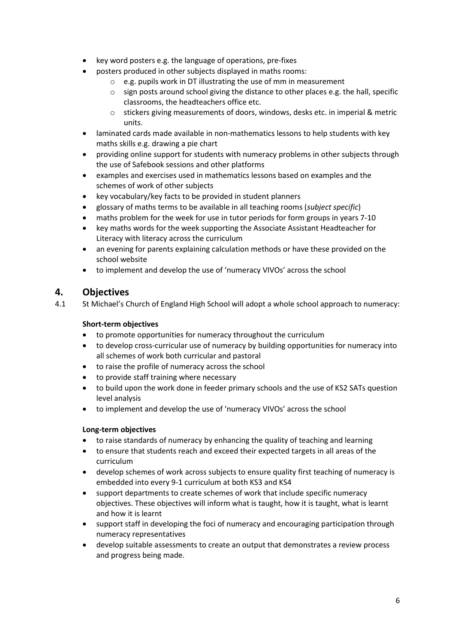- key word posters e.g. the language of operations, pre-fixes
- posters produced in other subjects displayed in maths rooms:
	- $\circ$  e.g. pupils work in DT illustrating the use of mm in measurement
	- $\circ$  sign posts around school giving the distance to other places e.g. the hall, specific classrooms, the headteachers office etc.
	- o stickers giving measurements of doors, windows, desks etc. in imperial & metric units.
- laminated cards made available in non-mathematics lessons to help students with key maths skills e.g. drawing a pie chart
- providing online support for students with numeracy problems in other subjects through the use of Safebook sessions and other platforms
- examples and exercises used in mathematics lessons based on examples and the schemes of work of other subjects
- key vocabulary/key facts to be provided in student planners
- glossary of maths terms to be available in all teaching rooms (*subject specific*)
- maths problem for the week for use in tutor periods for form groups in years 7-10
- key maths words for the week supporting the Associate Assistant Headteacher for Literacy with literacy across the curriculum
- an evening for parents explaining calculation methods or have these provided on the school website
- to implement and develop the use of 'numeracy VIVOs' across the school

## <span id="page-5-0"></span>**4. Objectives**

4.1 St Michael's Church of England High School will adopt a whole school approach to numeracy:

#### **Short***-***term objectives**

- to promote opportunities for numeracy throughout the curriculum
- to develop cross-curricular use of numeracy by building opportunities for numeracy into all schemes of work both curricular and pastoral
- to raise the profile of numeracy across the school
- to provide staff training where necessary
- to build upon the work done in feeder primary schools and the use of KS2 SATs question level analysis
- to implement and develop the use of 'numeracy VIVOs' across the school

#### **Long-term objectives**

- to raise standards of numeracy by enhancing the quality of teaching and learning
- to ensure that students reach and exceed their expected targets in all areas of the curriculum
- develop schemes of work across subjects to ensure quality first teaching of numeracy is embedded into every 9-1 curriculum at both KS3 and KS4
- support departments to create schemes of work that include specific numeracy objectives. These objectives will inform what is taught, how it is taught, what is learnt and how it is learnt
- support staff in developing the foci of numeracy and encouraging participation through numeracy representatives
- develop suitable assessments to create an output that demonstrates a review process and progress being made.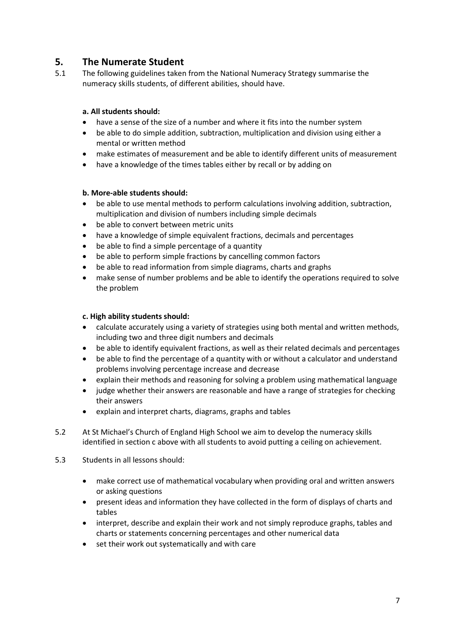## <span id="page-6-0"></span>**5. The Numerate Student**

5.1 The following guidelines taken from the National Numeracy Strategy summarise the numeracy skills students, of different abilities, should have.

#### **a. All students should:**

- have a sense of the size of a number and where it fits into the number system
- be able to do simple addition, subtraction, multiplication and division using either a mental or written method
- make estimates of measurement and be able to identify different units of measurement
- have a knowledge of the times tables either by recall or by adding on

#### **b. More-able students should:**

- be able to use mental methods to perform calculations involving addition, subtraction, multiplication and division of numbers including simple decimals
- be able to convert between metric units
- have a knowledge of simple equivalent fractions, decimals and percentages
- be able to find a simple percentage of a quantity
- be able to perform simple fractions by cancelling common factors
- be able to read information from simple diagrams, charts and graphs
- make sense of number problems and be able to identify the operations required to solve the problem

#### **c. High ability students should:**

- calculate accurately using a variety of strategies using both mental and written methods, including two and three digit numbers and decimals
- be able to identify equivalent fractions, as well as their related decimals and percentages
- be able to find the percentage of a quantity with or without a calculator and understand problems involving percentage increase and decrease
- explain their methods and reasoning for solving a problem using mathematical language
- judge whether their answers are reasonable and have a range of strategies for checking their answers
- explain and interpret charts, diagrams, graphs and tables
- 5.2 At St Michael's Church of England High School we aim to develop the numeracy skills identified in section c above with all students to avoid putting a ceiling on achievement.
- 5.3 Students in all lessons should:
	- make correct use of mathematical vocabulary when providing oral and written answers or asking questions
	- present ideas and information they have collected in the form of displays of charts and tables
	- interpret, describe and explain their work and not simply reproduce graphs, tables and charts or statements concerning percentages and other numerical data
	- set their work out systematically and with care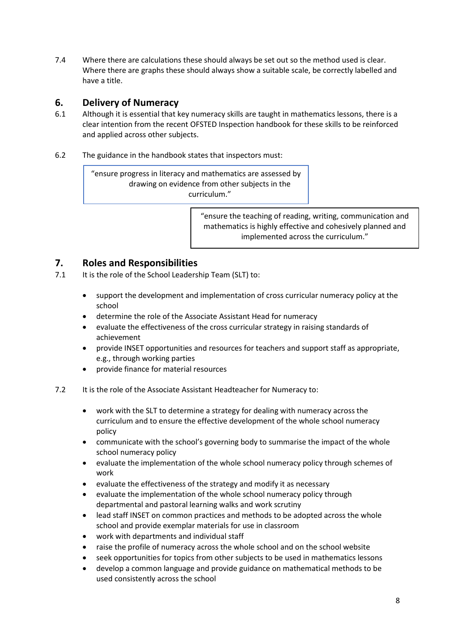7.4 Where there are calculations these should always be set out so the method used is clear. Where there are graphs these should always show a suitable scale, be correctly labelled and have a title.

### <span id="page-7-0"></span>**6. Delivery of Numeracy**

- 6.1 Although it is essential that key numeracy skills are taught in mathematics lessons, there is a clear intention from the recent OFSTED Inspection handbook for these skills to be reinforced and applied across other subjects.
- <span id="page-7-1"></span>6.2 The guidance in the handbook states that inspectors must:

"ensure progress in literacy and mathematics are assessed by drawing on evidence from other subjects in the curriculum."

> "ensure the teaching of reading, writing, communication and mathematics is highly effective and cohesively planned and implemented across the curriculum."

## **7. Roles and Responsibilities**

- 7.1 It is the role of the School Leadership Team (SLT) to:
	- support the development and implementation of cross curricular numeracy policy at the school
	- determine the role of the Associate Assistant Head for numeracy
	- evaluate the effectiveness of the cross curricular strategy in raising standards of achievement
	- provide INSET opportunities and resources for teachers and support staff as appropriate, e.g., through working parties
	- provide finance for material resources
- 7.2 It is the role of the Associate Assistant Headteacher for Numeracy to:
	- work with the SLT to determine a strategy for dealing with numeracy across the curriculum and to ensure the effective development of the whole school numeracy policy
	- communicate with the school's governing body to summarise the impact of the whole school numeracy policy
	- evaluate the implementation of the whole school numeracy policy through schemes of work
	- evaluate the effectiveness of the strategy and modify it as necessary
	- evaluate the implementation of the whole school numeracy policy through departmental and pastoral learning walks and work scrutiny
	- lead staff INSET on common practices and methods to be adopted across the whole school and provide exemplar materials for use in classroom
	- work with departments and individual staff
	- raise the profile of numeracy across the whole school and on the school website
	- seek opportunities for topics from other subjects to be used in mathematics lessons
	- develop a common language and provide guidance on mathematical methods to be used consistently across the school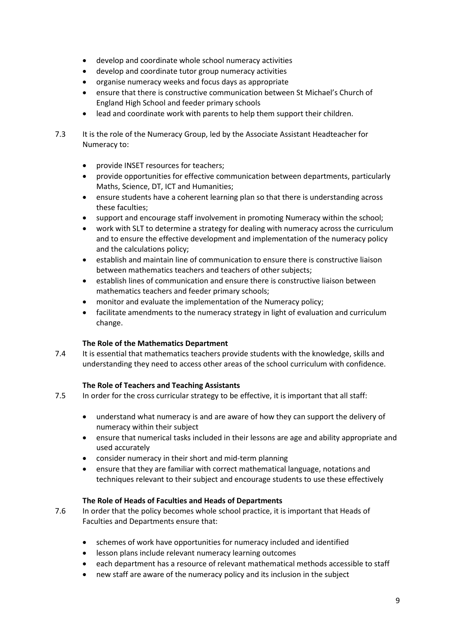- develop and coordinate whole school numeracy activities
- develop and coordinate tutor group numeracy activities
- organise numeracy weeks and focus days as appropriate
- ensure that there is constructive communication between St Michael's Church of England High School and feeder primary schools
- lead and coordinate work with parents to help them support their children.
- 7.3 It is the role of the Numeracy Group, led by the Associate Assistant Headteacher for Numeracy to:
	- provide INSET resources for teachers;
	- provide opportunities for effective communication between departments, particularly Maths, Science, DT, ICT and Humanities;
	- ensure students have a coherent learning plan so that there is understanding across these faculties;
	- support and encourage staff involvement in promoting Numeracy within the school;
	- work with SLT to determine a strategy for dealing with numeracy across the curriculum and to ensure the effective development and implementation of the numeracy policy and the calculations policy;
	- establish and maintain line of communication to ensure there is constructive liaison between mathematics teachers and teachers of other subjects;
	- establish lines of communication and ensure there is constructive liaison between mathematics teachers and feeder primary schools;
	- monitor and evaluate the implementation of the Numeracy policy;
	- facilitate amendments to the numeracy strategy in light of evaluation and curriculum change.

#### **The Role of the Mathematics Department**

7.4 It is essential that mathematics teachers provide students with the knowledge, skills and understanding they need to access other areas of the school curriculum with confidence.

#### **The Role of Teachers and Teaching Assistants**

- 7.5 In order for the cross curricular strategy to be effective, it is important that all staff:
	- understand what numeracy is and are aware of how they can support the delivery of numeracy within their subject
	- ensure that numerical tasks included in their lessons are age and ability appropriate and used accurately
	- consider numeracy in their short and mid-term planning
	- ensure that they are familiar with correct mathematical language, notations and techniques relevant to their subject and encourage students to use these effectively

#### **The Role of Heads of Faculties and Heads of Departments**

- 7.6 In order that the policy becomes whole school practice, it is important that Heads of Faculties and Departments ensure that:
	- schemes of work have opportunities for numeracy included and identified
	- lesson plans include relevant numeracy learning outcomes
	- each department has a resource of relevant mathematical methods accessible to staff
	- new staff are aware of the numeracy policy and its inclusion in the subject